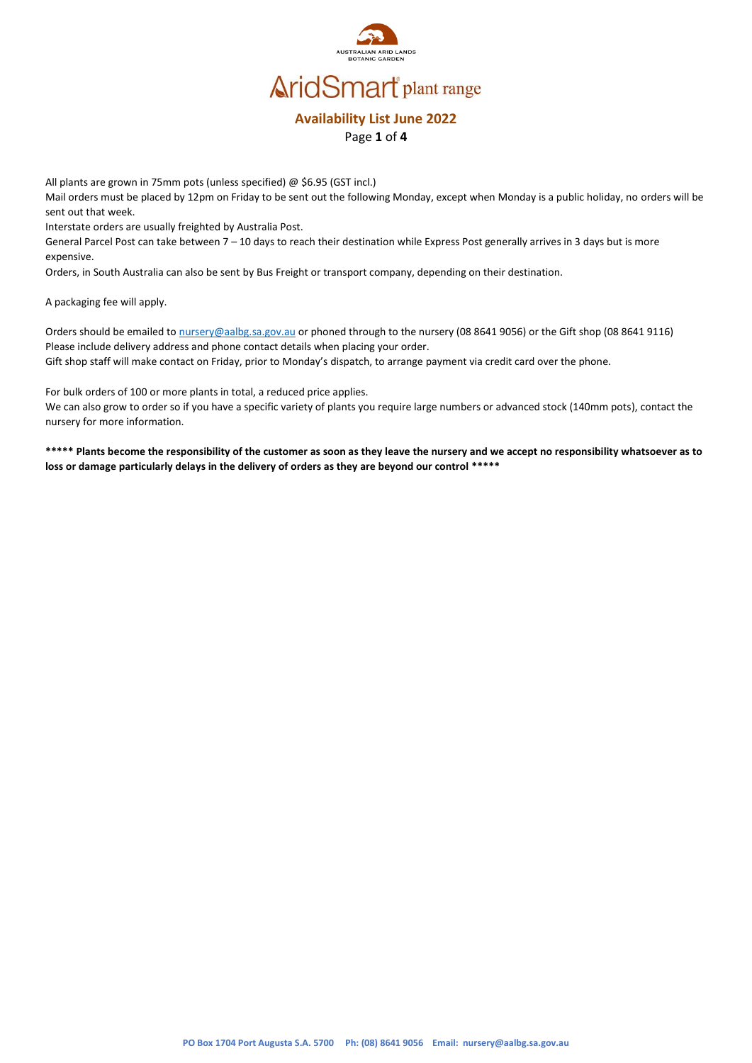

#### **Availability List June 2022** Page **1** of **4**

All plants are grown in 75mm pots (unless specified) @ \$6.95 (GST incl.)

Mail orders must be placed by 12pm on Friday to be sent out the following Monday, except when Monday is a public holiday, no orders will be sent out that week.

Interstate orders are usually freighted by Australia Post.

General Parcel Post can take between 7 – 10 days to reach their destination while Express Post generally arrives in 3 days but is more expensive.

Orders, in South Australia can also be sent by Bus Freight or transport company, depending on their destination.

A packaging fee will apply.

Orders should be emailed to [nursery@aalbg.sa.gov.au](mailto:nursery@aalbg.sa.gov.au) or phoned through to the nursery (08 8641 9056) or the Gift shop (08 8641 9116) Please include delivery address and phone contact details when placing your order. Gift shop staff will make contact on Friday, prior to Monday's dispatch, to arrange payment via credit card over the phone.

For bulk orders of 100 or more plants in total, a reduced price applies.

We can also grow to order so if you have a specific variety of plants you require large numbers or advanced stock (140mm pots), contact the nursery for more information.

**\*\*\*\*\* Plants become the responsibility of the customer as soon as they leave the nursery and we accept no responsibility whatsoever as to loss or damage particularly delays in the delivery of orders as they are beyond our control \*\*\*\*\***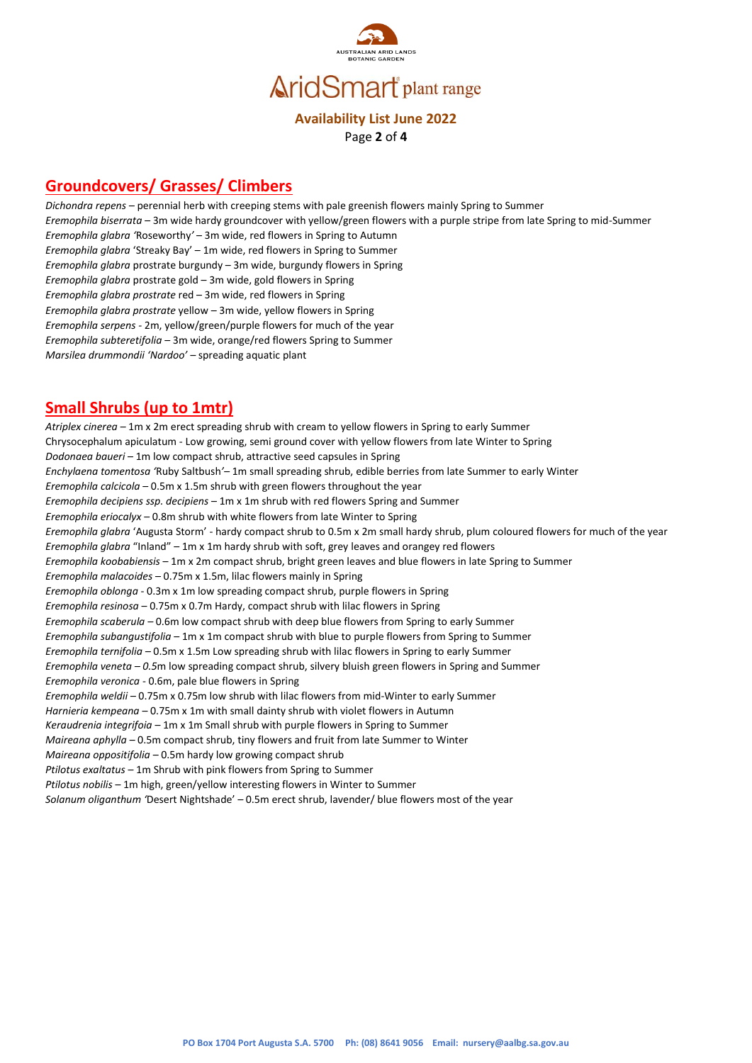

#### **Availability List June 2022** Page **2** of **4**

### **Groundcovers/ Grasses/ Climbers**

*Dichondra repens –* perennial herb with creeping stems with pale greenish flowers mainly Spring to Summer *Eremophila biserrata –* 3m wide hardy groundcover with yellow/green flowers with a purple stripe from late Spring to mid-Summer *Eremophila glabra '*Roseworthy*'* – 3m wide, red flowers in Spring to Autumn *Eremophila glabra* 'Streaky Bay' – 1m wide, red flowers in Spring to Summer *Eremophila glabra* prostrate burgundy – 3m wide, burgundy flowers in Spring *Eremophila glabra* prostrate gold – 3m wide, gold flowers in Spring *Eremophila glabra prostrate* red – 3m wide, red flowers in Spring *Eremophila glabra prostrate* yellow – 3m wide, yellow flowers in Spring *Eremophila serpens -* 2m, yellow/green/purple flowers for much of the year *Eremophila subteretifolia* – 3m wide, orange/red flowers Spring to Summer *Marsilea drummondii 'Nardoo' –* spreading aquatic plant

### **Small Shrubs (up to 1mtr)**

*Atriplex cinerea –* 1m x 2m erect spreading shrub with cream to yellow flowers in Spring to early Summer Chrysocephalum apiculatum - Low growing, semi ground cover with yellow flowers from late Winter to Spring *Dodonaea baueri* – 1m low compact shrub, attractive seed capsules in Spring *Enchylaena tomentosa '*Ruby Saltbush*'–* 1m small spreading shrub, edible berries from late Summer to early Winter *Eremophila calcicola* – 0.5m x 1.5m shrub with green flowers throughout the year *Eremophila decipiens ssp. decipiens* – 1m x 1m shrub with red flowers Spring and Summer *Eremophila eriocalyx* – 0.8m shrub with white flowers from late Winter to Spring *Eremophila glabra* 'Augusta Storm' - hardy compact shrub to 0.5m x 2m small hardy shrub, plum coloured flowers for much of the year *Eremophila glabra* "Inland" – 1m x 1m hardy shrub with soft, grey leaves and orangey red flowers *Eremophila koobabiensis* – 1m x 2m compact shrub, bright green leaves and blue flowers in late Spring to Summer *Eremophila malacoides* – 0.75m x 1.5m, lilac flowers mainly in Spring *Eremophila oblonga* - 0.3m x 1m low spreading compact shrub, purple flowers in Spring *Eremophila resinosa* – 0.75m x 0.7m Hardy, compact shrub with lilac flowers in Spring *Eremophila scaberula –* 0.6m low compact shrub with deep blue flowers from Spring to early Summer *Eremophila subangustifolia* – 1m x 1m compact shrub with blue to purple flowers from Spring to Summer *Eremophila ternifolia –* 0.5m x 1.5m Low spreading shrub with lilac flowers in Spring to early Summer *Eremophila veneta – 0.5*m low spreading compact shrub, silvery bluish green flowers in Spring and Summer *Eremophila veronica* - 0.6m, pale blue flowers in Spring *Eremophila weldii –* 0.75m x 0.75m low shrub with lilac flowers from mid-Winter to early Summer *Harnieria kempeana* – 0.75m x 1m with small dainty shrub with violet flowers in Autumn *Keraudrenia integrifoia* – 1m x 1m Small shrub with purple flowers in Spring to Summer *Maireana aphylla –* 0.5m compact shrub, tiny flowers and fruit from late Summer to Winter *Maireana oppositifolia* – 0.5m hardy low growing compact shrub *Ptilotus exaltatus* – 1m Shrub with pink flowers from Spring to Summer *Ptilotus nobilis* – 1m high, green/yellow interesting flowers in Winter to Summer

*Solanum oliganthum '*Desert Nightshade' *–* 0.5m erect shrub, lavender/ blue flowers most of the year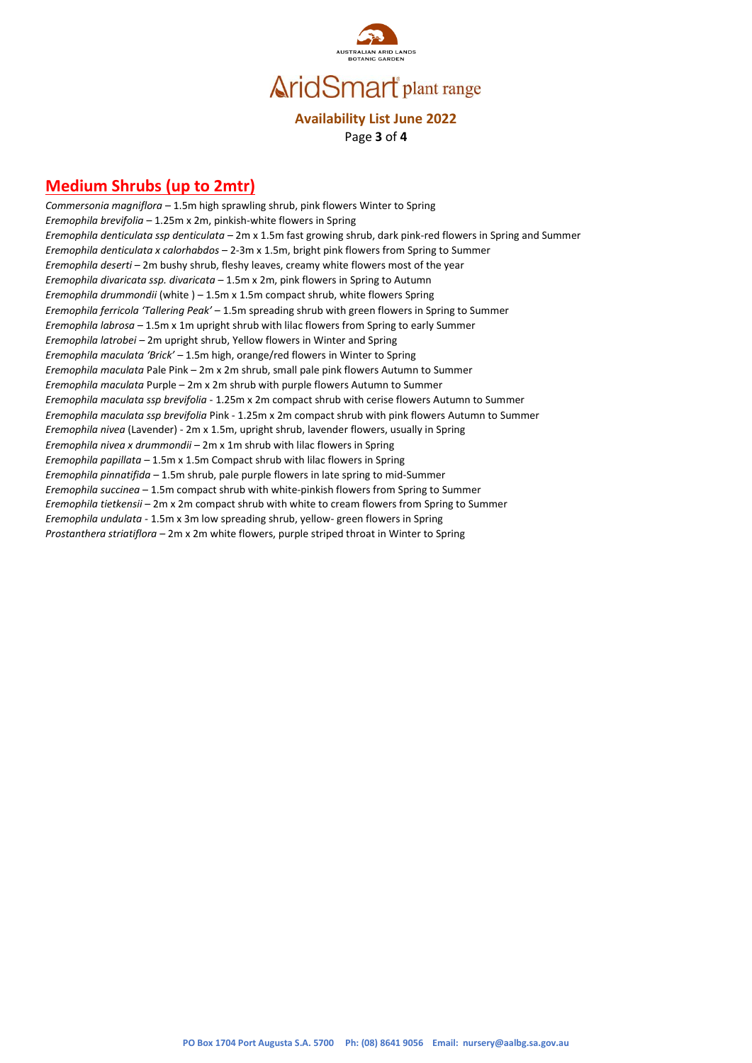

### **Availability List June 2022** Page **3** of **4**

## **Medium Shrubs (up to 2mtr)**

*Commersonia magniflora* – 1.5m high sprawling shrub, pink flowers Winter to Spring *Eremophila brevifolia* – 1.25m x 2m, pinkish-white flowers in Spring *Eremophila denticulata ssp denticulata –* 2m x 1.5m fast growing shrub, dark pink-red flowers in Spring and Summer *Eremophila denticulata x calorhabdos* – 2-3m x 1.5m, bright pink flowers from Spring to Summer *Eremophila deserti* – 2m bushy shrub, fleshy leaves, creamy white flowers most of the year *Eremophila divaricata ssp. divaricata* – 1.5m x 2m, pink flowers in Spring to Autumn *Eremophila drummondii* (white ) – 1.5m x 1.5m compact shrub, white flowers Spring *Eremophila ferricola 'Tallering Peak'* – 1.5m spreading shrub with green flowers in Spring to Summer *Eremophila labrosa –* 1.5m x 1m upright shrub with lilac flowers from Spring to early Summer *Eremophila latrobei –* 2m upright shrub, Yellow flowers in Winter and Spring *Eremophila maculata 'Brick' –* 1.5m high, orange/red flowers in Winter to Spring *Eremophila maculata* Pale Pink – 2m x 2m shrub, small pale pink flowers Autumn to Summer *Eremophila maculata* Purple – 2m x 2m shrub with purple flowers Autumn to Summer *Eremophila maculata ssp brevifolia* - 1.25m x 2m compact shrub with cerise flowers Autumn to Summer *Eremophila maculata ssp brevifolia* Pink - 1.25m x 2m compact shrub with pink flowers Autumn to Summer *Eremophila nivea* (Lavender) - 2m x 1.5m, upright shrub, lavender flowers, usually in Spring *Eremophila nivea x drummondii* – 2m x 1m shrub with lilac flowers in Spring *Eremophila papillata –* 1.5m x 1.5m Compact shrub with lilac flowers in Spring *Eremophila pinnatifida –* 1.5m shrub, pale purple flowers in late spring to mid-Summer *Eremophila succinea* – 1.5m compact shrub with white-pinkish flowers from Spring to Summer *Eremophila tietkensii* – 2m x 2m compact shrub with white to cream flowers from Spring to Summer *Eremophila undulata -* 1.5m x 3m low spreading shrub, yellow- green flowers in Spring *Prostanthera striatiflora* – 2m x 2m white flowers, purple striped throat in Winter to Spring